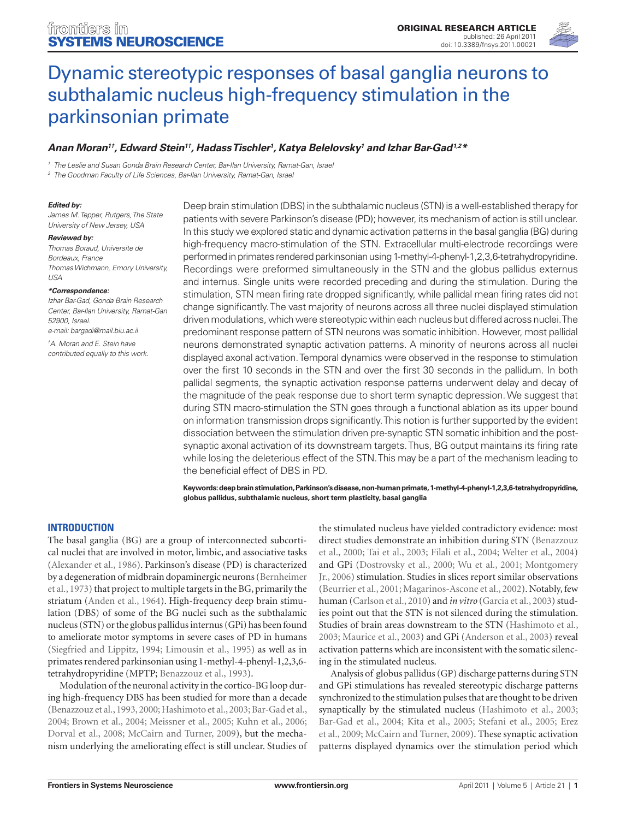

# [Dynamic stereotypic responses of basal ganglia neurons to](http://www.frontiersin.org/Systems_Neuroscience/10.3389/fnsys.2011.00021/abstract)  [subthalamic nucleus high-frequency stimulation in the](http://www.frontiersin.org/Systems_Neuroscience/10.3389/fnsys.2011.00021/abstract)  [parkinsonian primate](http://www.frontiersin.org/Systems_Neuroscience/10.3389/fnsys.2011.00021/abstract)

# *[Anan Moran](http://www.frontiersin.org/people/ananmoran/22137)1†, [Edward Stein](http://www.frontiersin.org/people/edwardstein/26114)1†, Hadass Tischler1 , Katya Belelovsky1 and [Izhar Bar-Gad1](http://www.frontiersin.org/people/izharbar_gad/6871),2\**

*<sup>1</sup> The Leslie and Susan Gonda Brain Research Center, Bar-Ilan University, Ramat-Gan, Israel*

*<sup>2</sup> The Goodman Faculty of Life Sciences, Bar-Ilan University, Ramat-Gan, Israel*

#### *Edited by:*

*James M. Tepper, Rutgers, The State University of New Jersey, USA*

#### *Reviewed by:*

*Thomas Boraud, Universite de Bordeaux, France Thomas Wichmann, Emory University, USA*

#### *\*Correspondence:*

*Izhar Bar-Gad, Gonda Brain Research Center, Bar-Ilan University, Ramat-Gan 52900, Israel. e-mail: bargadi@mail.biu.ac.il*

*† A. Moran and E. Stein have contributed equally to this work.* Deep brain stimulation (DBS) in the subthalamic nucleus (STN) is a well-established therapy for patients with severe Parkinson's disease (PD); however, its mechanism of action is still unclear. In this study we explored static and dynamic activation patterns in the basal ganglia (BG) during high-frequency macro-stimulation of the STN. Extracellular multi-electrode recordings were performed in primates rendered parkinsonian using 1-methyl-4-phenyl-1,2,3,6-tetrahydropyridine. Recordings were preformed simultaneously in the STN and the globus pallidus externus and internus. Single units were recorded preceding and during the stimulation. During the stimulation, STN mean firing rate dropped significantly, while pallidal mean firing rates did not change significantly. The vast majority of neurons across all three nuclei displayed stimulation driven modulations, which were stereotypic within each nucleus but differed across nuclei. The predominant response pattern of STN neurons was somatic inhibition. However, most pallidal neurons demonstrated synaptic activation patterns. A minority of neurons across all nuclei displayed axonal activation. Temporal dynamics were observed in the response to stimulation over the first 10 seconds in the STN and over the first 30 seconds in the pallidum. In both pallidal segments, the synaptic activation response patterns underwent delay and decay of the magnitude of the peak response due to short term synaptic depression. We suggest that during STN macro-stimulation the STN goes through a functional ablation as its upper bound on information transmission drops significantly. This notion is further supported by the evident dissociation between the stimulation driven pre-synaptic STN somatic inhibition and the postsynaptic axonal activation of its downstream targets. Thus, BG output maintains its firing rate while losing the deleterious effect of the STN. This may be a part of the mechanism leading to the beneficial effect of DBS in PD.

**Keywords: deep brain stimulation, Parkinson's disease, non-human primate, 1-methyl-4-phenyl-1,2,3,6-tetrahydropyridine, globus pallidus, subthalamic nucleus, short term plasticity, basal ganglia**

## **Introduction**

The basal ganglia (BG) are a group of interconnected subcortical nuclei that are involved in motor, limbic, and associative tasks (Alexander et al., 1986). Parkinson's disease (PD) is characterized by a degeneration of midbrain dopaminergic neurons (Bernheimer et al., 1973) that project to multiple targets in the BG, primarily the striatum (Anden et al., 1964). High-frequency deep brain stimulation (DBS) of some of the BG nuclei such as the subthalamic nucleus (STN) or the globus pallidus internus (GPi) has been found to ameliorate motor symptoms in severe cases of PD in humans (Siegfried and Lippitz, 1994; Limousin et al., 1995) as well as in primates rendered parkinsonian using 1-methyl-4-phenyl-1,2,3,6 tetrahydropyridine (MPTP; Benazzouz et al., 1993).

Modulation of the neuronal activity in the cortico-BG loop during high-frequency DBS has been studied for more than a decade (Benazzouz et al., 1993, 2000; Hashimoto et al., 2003; Bar-Gad et al., 2004; Brown et al., 2004; Meissner et al., 2005; Kuhn et al., 2006; Dorval et al., 2008; McCairn and Turner, 2009), but the mechanism underlying the ameliorating effect is still unclear. Studies of

the stimulated nucleus have yielded contradictory evidence: most direct studies demonstrate an inhibition during STN (Benazzouz et al., 2000; Tai et al., 2003; Filali et al., 2004; Welter et al., 2004) and GPi (Dostrovsky et al., 2000; Wu et al., 2001; Montgomery Jr., 2006) stimulation. Studies in slices report similar observations (Beurrier et al., 2001; Magarinos-Ascone et al., 2002). Notably, few human (Carlson et al., 2010) and *in vitro* (Garcia et al., 2003) studies point out that the STN is not silenced during the stimulation. Studies of brain areas downstream to the STN (Hashimoto et al., 2003; Maurice et al., 2003) and GPi (Anderson et al., 2003) reveal activation patterns which are inconsistent with the somatic silencing in the stimulated nucleus.

Analysis of globus pallidus (GP) discharge patterns during STN and GPi stimulations has revealed stereotypic discharge patterns synchronized to the stimulation pulses that are thought to be driven synaptically by the stimulated nucleus (Hashimoto et al., 2003; Bar-Gad et al., 2004; Kita et al., 2005; Stefani et al., 2005; Erez et al., 2009; McCairn and Turner, 2009). These synaptic activation patterns displayed dynamics over the stimulation period which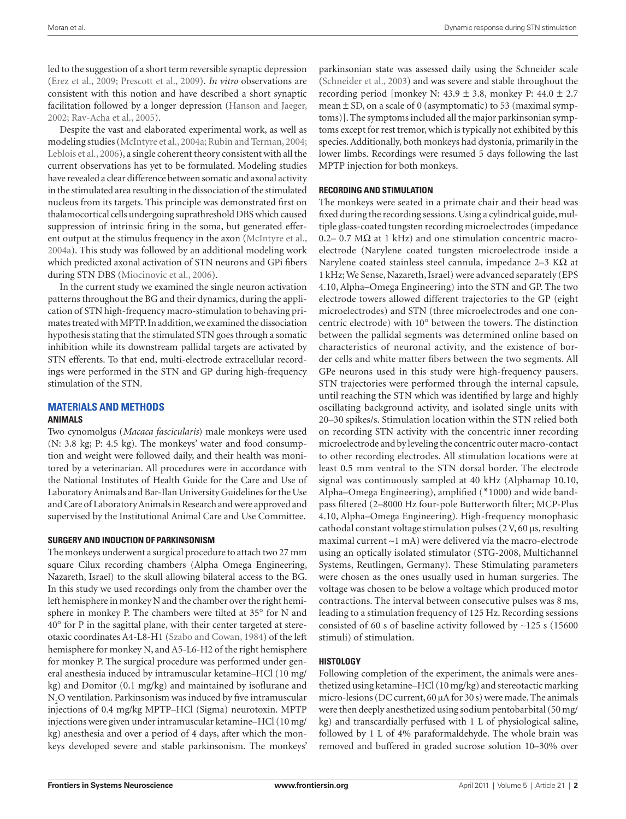led to the suggestion of a short term reversible synaptic depression (Erez et al., 2009; Prescott et al., 2009). *In vitro* observations are consistent with this notion and have described a short synaptic facilitation followed by a longer depression (Hanson and Jaeger, 2002; Rav-Acha et al., 2005).

Despite the vast and elaborated experimental work, as well as modeling studies (McIntyre et al., 2004a; Rubin and Terman, 2004; Leblois et al., 2006), a single coherent theory consistent with all the current observations has yet to be formulated. Modeling studies have revealed a clear difference between somatic and axonal activity in the stimulated area resulting in the dissociation of the stimulated nucleus from its targets. This principle was demonstrated first on thalamocortical cells undergoing suprathreshold DBS which caused suppression of intrinsic firing in the soma, but generated efferent output at the stimulus frequency in the axon (McIntyre et al., 2004a). This study was followed by an additional modeling work which predicted axonal activation of STN neurons and GPi fibers during STN DBS (Miocinovic et al., 2006).

In the current study we examined the single neuron activation patterns throughout the BG and their dynamics, during the application of STN high-frequency macro-stimulation to behaving primates treated with MPTP. In addition, we examined the dissociation hypothesis stating that the stimulated STN goes through a somatic inhibition while its downstream pallidal targets are activated by STN efferents. To that end, multi-electrode extracellular recordings were performed in the STN and GP during high-frequency stimulation of the STN.

## **Materials and Methods Animals**

Two cynomolgus (*Macaca fascicularis*) male monkeys were used (N: 3.8 kg; P: 4.5 kg). The monkeys' water and food consumption and weight were followed daily, and their health was monitored by a veterinarian. All procedures were in accordance with the National Institutes of Health Guide for the Care and Use of Laboratory Animals and Bar-Ilan University Guidelines for the Use and Care of Laboratory Animals in Research and were approved and supervised by the Institutional Animal Care and Use Committee.

## **Surgery and induction of Parkinsonism**

The monkeys underwent a surgical procedure to attach two 27 mm square Cilux recording chambers (Alpha Omega Engineering, Nazareth, Israel) to the skull allowing bilateral access to the BG. In this study we used recordings only from the chamber over the left hemisphere in monkey N and the chamber over the right hemisphere in monkey P. The chambers were tilted at 35° for N and 40° for P in the sagittal plane, with their center targeted at stereotaxic coordinates A4-L8-H1 (Szabo and Cowan, 1984) of the left hemisphere for monkey N, and A5-L6-H2 of the right hemisphere for monkey P. The surgical procedure was performed under general anesthesia induced by intramuscular ketamine–HCl (10 mg/ kg) and Domitor (0.1 mg/kg) and maintained by isoflurane and  $\rm N_2O$  ventilation. Parkinsonism was induced by five intramuscular injections of 0.4 mg/kg MPTP–HCl (Sigma) neurotoxin. MPTP injections were given under intramuscular ketamine–HCl (10 mg/ kg) anesthesia and over a period of 4 days, after which the monkeys developed severe and stable parkinsonism. The monkeys'

parkinsonian state was assessed daily using the Schneider scale (Schneider et al., 2003) and was severe and stable throughout the recording period [monkey N:  $43.9 \pm 3.8$ , monkey P:  $44.0 \pm 2.7$ mean  $\pm$  SD, on a scale of 0 (asymptomatic) to 53 (maximal symptoms)]. The symptoms included all the major parkinsonian symptoms except for rest tremor, which is typically not exhibited by this species. Additionally, both monkeys had dystonia, primarily in the lower limbs. Recordings were resumed 5 days following the last MPTP injection for both monkeys.

## **Recording and stimulation**

The monkeys were seated in a primate chair and their head was fixed during the recording sessions. Using a cylindrical guide, multiple glass-coated tungsten recording microelectrodes (impedance 0.2– 0.7 MΩ at 1 kHz) and one stimulation concentric macroelectrode (Narylene coated tungsten microelectrode inside a Narylene coated stainless steel cannula, impedance 2–3 KΩ at 1 kHz; We Sense, Nazareth, Israel) were advanced separately (EPS 4.10, Alpha–Omega Engineering) into the STN and GP. The two electrode towers allowed different trajectories to the GP (eight microelectrodes) and STN (three microelectrodes and one concentric electrode) with 10° between the towers. The distinction between the pallidal segments was determined online based on characteristics of neuronal activity, and the existence of border cells and white matter fibers between the two segments. All GPe neurons used in this study were high-frequency pausers. STN trajectories were performed through the internal capsule, until reaching the STN which was identified by large and highly oscillating background activity, and isolated single units with 20–30 spikes/s. Stimulation location within the STN relied both on recording STN activity with the concentric inner recording microelectrode and by leveling the concentric outer macro-contact to other recording electrodes. All stimulation locations were at least 0.5 mm ventral to the STN dorsal border. The electrode signal was continuously sampled at 40 kHz (Alphamap 10.10, Alpha–Omega Engineering), amplified (\*1000) and wide bandpass filtered (2–8000 Hz four-pole Butterworth filter; MCP-Plus 4.10, Alpha–Omega Engineering). High-frequency monophasic cathodal constant voltage stimulation pulses (2V, 60 μs, resulting maximal current ∼1 mA) were delivered via the macro-electrode using an optically isolated stimulator (STG-2008, Multichannel Systems, Reutlingen, Germany). These Stimulating parameters were chosen as the ones usually used in human surgeries. The voltage was chosen to be below a voltage which produced motor contractions. The interval between consecutive pulses was 8 ms, leading to a stimulation frequency of 125 Hz. Recording sessions consisted of 60 s of baseline activity followed by ∼125 s (15600 stimuli) of stimulation.

## **Histology**

Following completion of the experiment, the animals were anesthetized using ketamine–HCl (10 mg/kg) and stereotactic marking micro-lesions (DC current, 60 μA for 30 s) were made. The animals were then deeply anesthetized using sodium pentobarbital (50 mg/ kg) and transcardially perfused with 1 L of physiological saline, followed by 1 L of 4% paraformaldehyde. The whole brain was removed and buffered in graded sucrose solution 10–30% over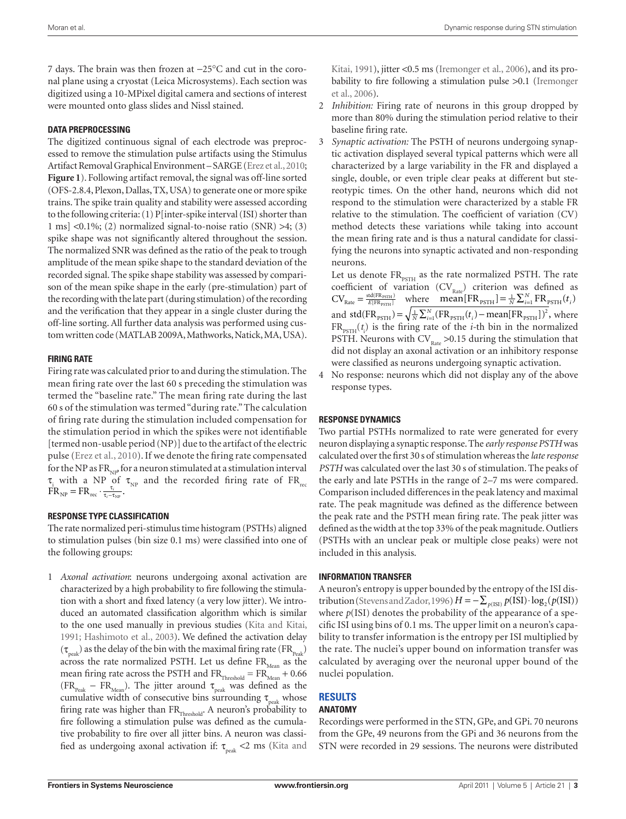7 days. The brain was then frozen at −25°C and cut in the coronal plane using a cryostat (Leica Microsystems). Each section was digitized using a 10-MPixel digital camera and sections of interest were mounted onto glass slides and Nissl stained.

## **Data preprocessing**

The digitized continuous signal of each electrode was preprocessed to remove the stimulation pulse artifacts using the Stimulus Artifact Removal Graphical Environment – SARGE (Erez et al., 2010; **Figure 1**). Following artifact removal, the signal was off-line sorted (OFS-2.8.4, Plexon, Dallas, TX, USA) to generate one or more spike trains. The spike train quality and stability were assessed according to the following criteria: (1) P[inter-spike interval (ISI) shorter than 1 ms]  $\langle 0.1\%; (2)$  normalized signal-to-noise ratio  $(SNR) > 4$ ; (3) spike shape was not significantly altered throughout the session. The normalized SNR was defined as the ratio of the peak to trough amplitude of the mean spike shape to the standard deviation of the recorded signal. The spike shape stability was assessed by comparison of the mean spike shape in the early (pre-stimulation) part of the recording with the late part (during stimulation) of the recording and the verification that they appear in a single cluster during the off-line sorting. All further data analysis was performed using custom written code (MATLAB 2009A, Mathworks, Natick, MA, USA).

# **Firing rate**

Firing rate was calculated prior to and during the stimulation. The mean firing rate over the last 60 s preceding the stimulation was termed the "baseline rate." The mean firing rate during the last 60 s of the stimulation was termed "during rate." The calculation of firing rate during the stimulation included compensation for the stimulation period in which the spikes were not identifiable [termed non-usable period (NP)] due to the artifact of the electric pulse (Erez et al., 2010). If we denote the firing rate compensated for the NP as  $FR_{\text{NLP}}$  for a neuron stimulated at a stimulation interval  $\tau_i$  with a NP of  $\tau_{NP}$  and the recorded firing rate of FR<sub>rec</sub>  $\dot{FR}_{NP} = FR_{rec} \cdot \frac{\tau_i}{\tau_i - \tau_{NP}}.$ 

# **Response type classification**

The rate normalized peri-stimulus time histogram (PSTHs) aligned to stimulation pulses (bin size 0.1 ms) were classified into one of the following groups:

1 *Axonal activation*: neurons undergoing axonal activation are characterized by a high probability to fire following the stimulation with a short and fixed latency (a very low jitter). We introduced an automated classification algorithm which is similar to the one used manually in previous studies (Kita and Kitai, 1991; Hashimoto et al., 2003). We defined the activation delay  $(\tau_{\text{peak}})$  as the delay of the bin with the maximal firing rate (FR<sub>Peak</sub>) across the rate normalized PSTH. Let us define  $FR_{Mean}$  as the mean firing rate across the PSTH and  $FR<sub>Threshold</sub> = FR<sub>Mean</sub> + 0.66$  $(FR_{peak} - FR_{Mean})$ . The jitter around  $\tau_{peak}$  was defined as the cumulative width of consecutive bins surrounding  $\tau_{peak}$  whose firing rate was higher than  $FR$ <sub>Threshold</sub>. A neuron's probability to fire following a stimulation pulse was defined as the cumulative probability to fire over all jitter bins. A neuron was classified as undergoing axonal activation if:  $\tau_{\text{peak}}$  <2 ms (Kita and

Kitai, 1991), jitter <0.5 ms (Iremonger et al., 2006), and its probability to fire following a stimulation pulse >0.1 (Iremonger et al., 2006).

- 2 *Inhibition:* Firing rate of neurons in this group dropped by more than 80% during the stimulation period relative to their baseline firing rate.
- 3 *Synaptic activation:* The PSTH of neurons undergoing synaptic activation displayed several typical patterns which were all characterized by a large variability in the FR and displayed a single, double, or even triple clear peaks at different but stereotypic times. On the other hand, neurons which did not respond to the stimulation were characterized by a stable FR relative to the stimulation. The coefficient of variation (CV) method detects these variations while taking into account the mean firing rate and is thus a natural candidate for classifying the neurons into synaptic activated and non-responding neurons.

Let us denote  $FR_{PSTH}$  as the rate normalized PSTH. The rate coefficient of variation  $(CV_{Rate})$  criterion was defined as  $CV_{Rate} = \frac{\text{sd}(FR_{PSTH})}{E[FR_{PSTH}]}$  where mean  $[FR_{PSTH}] = \frac{1}{N} \sum_{i=1}^{N} FR_{PSTH}(t_i)$ and std(FR<sub>PSTH</sub>) =  $\sqrt{\frac{1}{N} \sum_{i=1}^{N} (FR_{\text{PSTH}}(t_i) - \text{mean}[FR_{\text{PSTH}}])^2}$ , where  $FR_{pSTH}(t_i)$  is the firing rate of the *i*-th bin in the normalized PSTH. Neurons with  $CV_{\text{Rate}} > 0.15$  during the stimulation that did not display an axonal activation or an inhibitory response were classified as neurons undergoing synaptic activation.

4 No response: neurons which did not display any of the above response types.

## **Response dynamics**

Two partial PSTHs normalized to rate were generated for every neuron displaying a synaptic response. The *early response PSTH* was calculated over the first 30 s of stimulation whereas the *late response PSTH* was calculated over the last 30 s of stimulation. The peaks of the early and late PSTHs in the range of 2–7 ms were compared. Comparison included differences in the peak latency and maximal rate. The peak magnitude was defined as the difference between the peak rate and the PSTH mean firing rate. The peak jitter was defined as the width at the top 33% of the peak magnitude. Outliers (PSTHs with an unclear peak or multiple close peaks) were not included in this analysis.

## **Information transfer**

A neuron's entropy is upper bounded by the entropy of the ISI distribution (Stevens and Zador, 1996)  $H = -\sum_{p(\text{ISI})} p(\text{ISI}) \cdot \log_2(p(\text{ISI}))$ where  $p(ISI)$  denotes the probability of the appearance of a specific ISI using bins of 0.1 ms. The upper limit on a neuron's capability to transfer information is the entropy per ISI multiplied by the rate. The nuclei's upper bound on information transfer was calculated by averaging over the neuronal upper bound of the nuclei population.

#### **Results Anatomy**

# Recordings were performed in the STN, GPe, and GPi. 70 neurons from the GPe, 49 neurons from the GPi and 36 neurons from the STN were recorded in 29 sessions. The neurons were distributed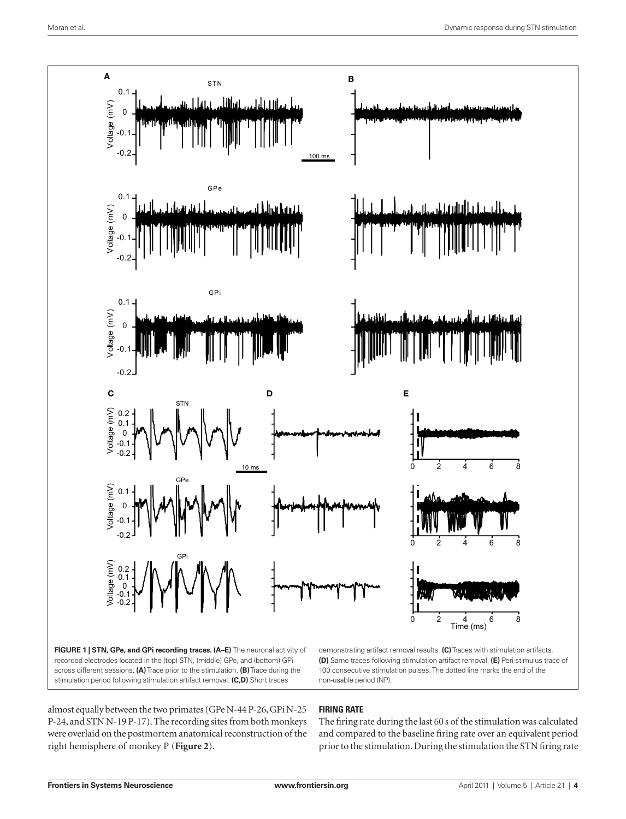

recorded electrodes located in the (top) STN, (middle) GPe, and (bottom) GPi across different sessions. **(A)** Trace prior to the stimulation. **(B)** Trace during the stimulation period following stimulation artifact removal. **(C,D)** Short traces

**(D)** Same traces following stimulation artifact removal. **(E)** Peri-stimulus trace of 100 consecutive stimulation pulses. The dotted line marks the end of the non-usable period (NP).

almost equally between the two primates (GPe N-44 P-26, GPi N-25 P-24, and STN N-19 P-17). The recording sites from both monkeys were overlaid on the postmortem anatomical reconstruction of the right hemisphere of monkey P (**Figure 2**).

# **Firing rate**

The firing rate during the last 60 s of the stimulation was calculated and compared to the baseline firing rate over an equivalent period prior to the stimulation. During the stimulation the STN firing rate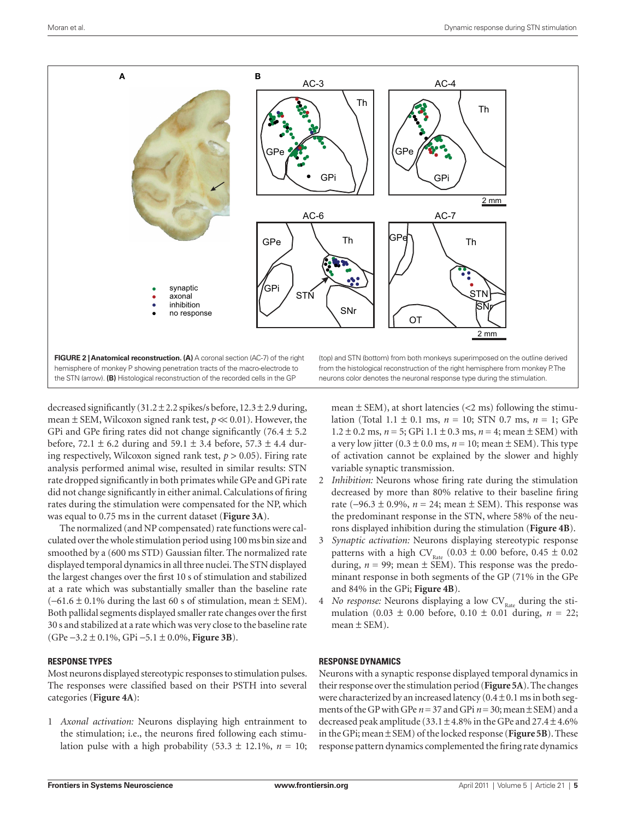

decreased significantly  $(31.2 \pm 2.2 \text{ spikes/s} )$  before,  $12.3 \pm 2.9 \text{ during}$ , mean  $\pm$  SEM, Wilcoxon signed rank test,  $p \ll 0.01$ ). However, the GPi and GPe firing rates did not change significantly  $(76.4 \pm 5.2)$ before, 72.1  $\pm$  6.2 during and 59.1  $\pm$  3.4 before, 57.3  $\pm$  4.4 during respectively, Wilcoxon signed rank test,  $p > 0.05$ ). Firing rate analysis performed animal wise, resulted in similar results: STN rate dropped significantly in both primates while GPe and GPi rate did not change significantly in either animal. Calculations of firing rates during the stimulation were compensated for the NP, which was equal to 0.75 ms in the current dataset (**Figure 3A**).

The normalized (and NP compensated) rate functions were calculated over the whole stimulation period using 100 ms bin size and smoothed by a (600 ms STD) Gaussian filter. The normalized rate displayed temporal dynamics in all three nuclei. The STN displayed the largest changes over the first 10 s of stimulation and stabilized at a rate which was substantially smaller than the baseline rate  $(-61.6 \pm 0.1\%$  during the last 60 s of stimulation, mean  $\pm$  SEM). Both pallidal segments displayed smaller rate changes over the first 30 s and stabilized at a rate which was very close to the baseline rate (GPe −3.2 ± 0.1%, GPi −5.1 ± 0.0%, **Figure 3B**).

## **Response types**

Most neurons displayed stereotypic responses to stimulation pulses. The responses were classified based on their PSTH into several categories (**Figure 4A**):

1 *Axonal activation:* Neurons displaying high entrainment to the stimulation; i.e., the neurons fired following each stimulation pulse with a high probability  $(53.3 \pm 12.1\%, n = 10;$ 

mean  $\pm$  SEM), at short latencies (<2 ms) following the stimulation (Total 1.1 ± 0.1 ms, *n* = 10; STN 0.7 ms, *n* = 1; GPe  $1.2 \pm 0.2$  ms,  $n = 5$ ; GPi  $1.1 \pm 0.3$  ms,  $n = 4$ ; mean  $\pm$  SEM) with

a very low jitter  $(0.3 \pm 0.0 \text{ ms}, n = 10; \text{mean} \pm \text{SEM})$ . This type of activation cannot be explained by the slower and highly variable synaptic transmission.

- 2 *Inhibition:* Neurons whose firing rate during the stimulation decreased by more than 80% relative to their baseline firing rate (−96.3 ± 0.9%, *n* = 24; mean ± SEM). This response was the predominant response in the STN, where 58% of the neurons displayed inhibition during the stimulation (**Figure 4B**).
- 3 *Synaptic activation:* Neurons displaying stereotypic response patterns with a high CV<sub>Rate</sub> (0.03  $\pm$  0.00 before, 0.45  $\pm$  0.02 during,  $n = 99$ ; mean  $\pm$  SEM). This response was the predominant response in both segments of the GP (71% in the GPe and 84% in the GPi; **Figure 4B**).
- 4 *No response:* Neurons displaying a low CV<sub>Rate</sub> during the stimulation  $(0.03 \pm 0.00)$  before,  $0.10 \pm 0.01$  during,  $n = 22$ ; mean  $\pm$  SEM).

## **Response dynamics**

Neurons with a synaptic response displayed temporal dynamics in their response over the stimulation period (**Figure 5A**). The changes were characterized by an increased latency  $(0.4 \pm 0.1 \text{ ms in both seg-}$ ments of the GP with GPe  $n = 37$  and GPi  $n = 30$ ; mean  $\pm$  SEM) and a decreased peak amplitude (33.1  $\pm$  4.8% in the GPe and 27.4  $\pm$  4.6% in the GPi; mean ± SEM) of the locked response (**Figure 5B**). These response pattern dynamics complemented the firing rate dynamics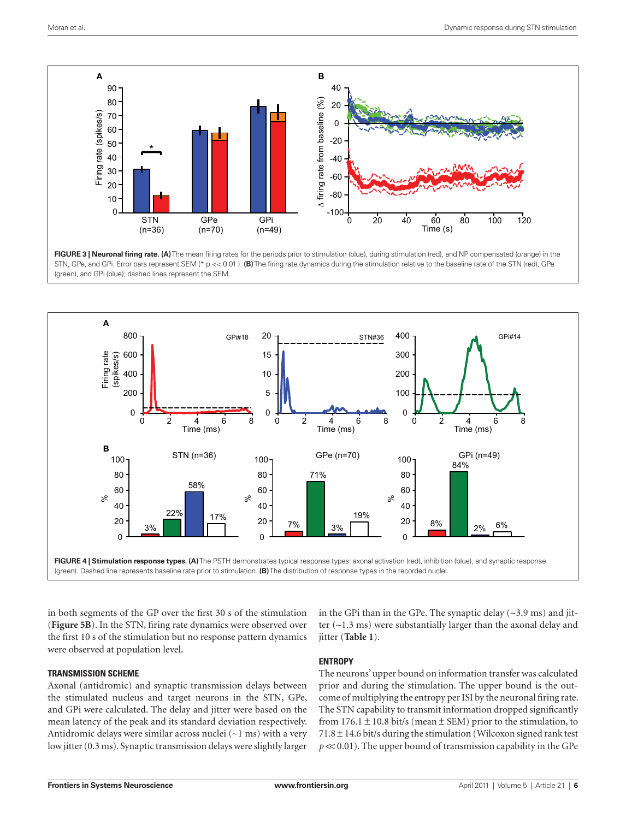

**FIGURE 3 | Neuronal firing rate. (A)** The mean firing rates for the periods prior to stimulation (blue), during stimulation (red), and NP compensated (orange) in the STN, GPe, and GPi. Error bars represent SEM (\* p << 0.01 ). **(B)** The firing rate dynamics during the stimulation relative to the baseline rate of the STN (red), GPe (green), and GPi (blue); dashed lines represent the SEM.



in both segments of the GP over the first 30 s of the stimulation (**Figure 5B**). In the STN, firing rate dynamics were observed over the first 10 s of the stimulation but no response pattern dynamics were observed at population level.

in the GPi than in the GPe. The synaptic delay (∼3.9 ms) and jitter (∼1.3 ms) were substantially larger than the axonal delay and jitter (**Table 1**).

## **Transmission scheme**

Axonal (antidromic) and synaptic transmission delays between the stimulated nucleus and target neurons in the STN, GPe, and GPi were calculated. The delay and jitter were based on the mean latency of the peak and its standard deviation respectively. Antidromic delays were similar across nuclei (∼1 ms) with a very low jitter (0.3 ms). Synaptic transmission delays were slightly larger

# **Entropy**

The neurons' upper bound on information transfer was calculated prior and during the stimulation. The upper bound is the outcome of multiplying the entropy per ISI by the neuronal firing rate. The STN capability to transmit information dropped significantly from  $176.1 \pm 10.8$  bit/s (mean  $\pm$  SEM) prior to the stimulation, to  $71.8 \pm 14.6$  bit/s during the stimulation (Wilcoxon signed rank test  $p \ll 0.01$ ). The upper bound of transmission capability in the GPe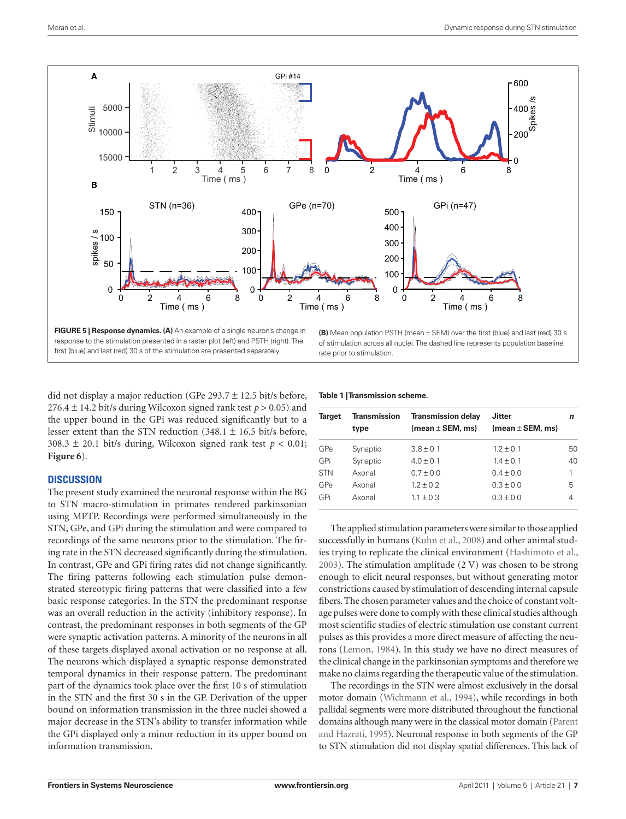

first (blue) and last (red) 30 s of the stimulation are presented separately.

of stimulation across all nuclei. The dashed line represents population baseline rate prior to stimulation.

did not display a major reduction (GPe 293.7  $\pm$  12.5 bit/s before, 276.4  $\pm$  14.2 bit/s during Wilcoxon signed rank test  $p > 0.05$ ) and the upper bound in the GPi was reduced significantly but to a lesser extent than the STN reduction  $(348.1 \pm 16.5 \text{ bit/s} )$  before, 308.3  $\pm$  20.1 bit/s during, Wilcoxon signed rank test  $p < 0.01$ ; **Figure 6**).

# **Discussion**

The present study examined the neuronal response within the BG to STN macro-stimulation in primates rendered parkinsonian using MPTP. Recordings were performed simultaneously in the STN, GPe, and GPi during the stimulation and were compared to recordings of the same neurons prior to the stimulation. The firing rate in the STN decreased significantly during the stimulation. In contrast, GPe and GPi firing rates did not change significantly. The firing patterns following each stimulation pulse demonstrated stereotypic firing patterns that were classified into a few basic response categories. In the STN the predominant response was an overall reduction in the activity (inhibitory response). In contrast, the predominant responses in both segments of the GP were synaptic activation patterns. A minority of the neurons in all of these targets displayed axonal activation or no response at all. The neurons which displayed a synaptic response demonstrated temporal dynamics in their response pattern. The predominant part of the dynamics took place over the first 10 s of stimulation in the STN and the first 30 s in the GP. Derivation of the upper bound on information transmission in the three nuclei showed a major decrease in the STN's ability to transfer information while the GPi displayed only a minor reduction in its upper bound on information transmission.

#### **Table 1 | Transmission scheme.**

| Target     | Transmission<br>type | <b>Transmission delay</b><br>(mean $\pm$ SEM, ms) | <b>Jitter</b><br>(mean $\pm$ SEM, ms) | n  |
|------------|----------------------|---------------------------------------------------|---------------------------------------|----|
| GPe        | Synaptic             | $3.8 + 0.1$                                       | $1.2 \pm 0.1$                         | 50 |
| GPi        | Synaptic             | $4.0 \pm 0.1$                                     | $1.4 \pm 0.1$                         | 40 |
| <b>STN</b> | Axonal               | $0.7 \pm 0.0$                                     | $0.4 \pm 0.0$                         | 1  |
| GPe        | Axonal               | $1.2 + 0.2$                                       | $0.3 \pm 0.0$                         | 5  |
| GPi        | Axonal               | $1.1 \pm 0.3$                                     | $0.3 + 0.0$                           | 4  |

The applied stimulation parameters were similar to those applied successfully in humans (Kuhn et al., 2008) and other animal studies trying to replicate the clinical environment (Hashimoto et al., 2003). The stimulation amplitude (2 V) was chosen to be strong enough to elicit neural responses, but without generating motor constrictions caused by stimulation of descending internal capsule fibers. The chosen parameter values and the choice of constant voltage pulses were done to comply with these clinical studies although most scientific studies of electric stimulation use constant current pulses as this provides a more direct measure of affecting the neurons (Lemon, 1984). In this study we have no direct measures of the clinical change in the parkinsonian symptoms and therefore we make no claims regarding the therapeutic value of the stimulation.

The recordings in the STN were almost exclusively in the dorsal motor domain (Wichmann et al., 1994), while recordings in both pallidal segments were more distributed throughout the functional domains although many were in the classical motor domain (Parent and Hazrati, 1995). Neuronal response in both segments of the GP to STN stimulation did not display spatial differences. This lack of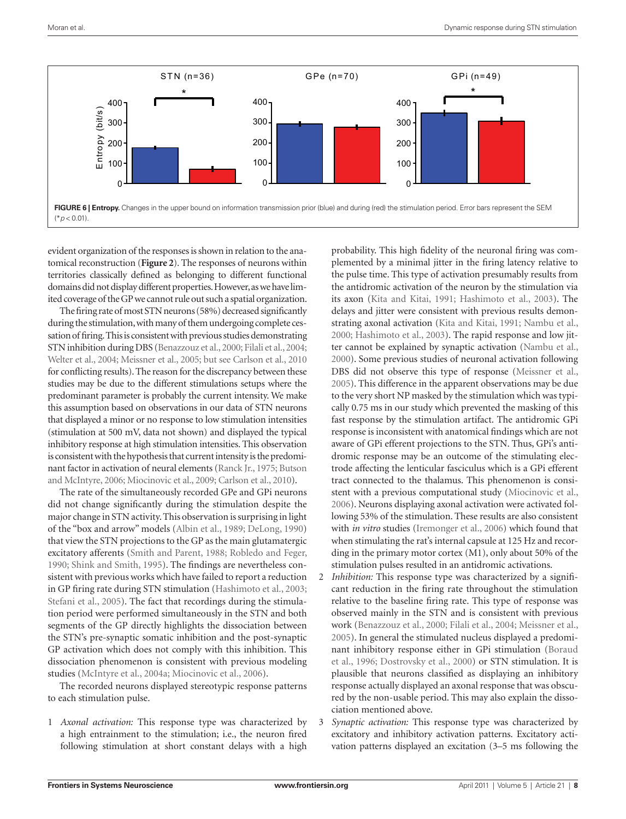

evident organization of the responses is shown in relation to the anatomical reconstruction (**Figure 2**). The responses of neurons within territories classically defined as belonging to different functional domains did not display different properties. However, as we have limited coverage of the GP we cannot rule out such a spatial organization.

The firing rate of most STN neurons (58%) decreased significantly during the stimulation, with many of them undergoing complete cessation of firing. This is consistent with previous studies demonstrating STN inhibition during DBS (Benazzouz et al., 2000; Filali et al., 2004; Welter et al., 2004; Meissner et al., 2005; but see Carlson et al., 2010 for conflicting results). The reason for the discrepancy between these studies may be due to the different stimulations setups where the predominant parameter is probably the current intensity. We make this assumption based on observations in our data of STN neurons that displayed a minor or no response to low stimulation intensities (stimulation at 500 mV, data not shown) and displayed the typical inhibitory response at high stimulation intensities. This observation is consistent with the hypothesis that current intensity is the predominant factor in activation of neural elements (Ranck Jr., 1975; Butson and McIntyre, 2006; Miocinovic et al., 2009; Carlson et al., 2010).

The rate of the simultaneously recorded GPe and GPi neurons did not change significantly during the stimulation despite the major change in STN activity. This observation is surprising in light of the "box and arrow" models (Albin et al., 1989; DeLong, 1990) that view the STN projections to the GP as the main glutamatergic excitatory afferents (Smith and Parent, 1988; Robledo and Feger, 1990; Shink and Smith, 1995). The findings are nevertheless consistent with previous works which have failed to report a reduction in GP firing rate during STN stimulation (Hashimoto et al., 2003; Stefani et al., 2005). The fact that recordings during the stimulation period were performed simultaneously in the STN and both segments of the GP directly highlights the dissociation between the STN's pre-synaptic somatic inhibition and the post-synaptic GP activation which does not comply with this inhibition. This dissociation phenomenon is consistent with previous modeling studies (McIntyre et al., 2004a; Miocinovic et al., 2006).

The recorded neurons displayed stereotypic response patterns to each stimulation pulse.

1 *Axonal activation:* This response type was characterized by a high entrainment to the stimulation; i.e., the neuron fired following stimulation at short constant delays with a high

probability. This high fidelity of the neuronal firing was complemented by a minimal jitter in the firing latency relative to the pulse time. This type of activation presumably results from the antidromic activation of the neuron by the stimulation via its axon (Kita and Kitai, 1991; Hashimoto et al., 2003). The delays and jitter were consistent with previous results demonstrating axonal activation (Kita and Kitai, 1991; Nambu et al., 2000; Hashimoto et al., 2003). The rapid response and low jitter cannot be explained by synaptic activation (Nambu et al., 2000). Some previous studies of neuronal activation following DBS did not observe this type of response (Meissner et al., 2005). This difference in the apparent observations may be due to the very short NP masked by the stimulation which was typically 0.75 ms in our study which prevented the masking of this fast response by the stimulation artifact. The antidromic GPi response is inconsistent with anatomical findings which are not aware of GPi efferent projections to the STN. Thus, GPi's antidromic response may be an outcome of the stimulating electrode affecting the lenticular fasciculus which is a GPi efferent tract connected to the thalamus. This phenomenon is consistent with a previous computational study (Miocinovic et al., 2006). Neurons displaying axonal activation were activated following 53% of the stimulation. These results are also consistent with *in vitro* studies (Iremonger et al., 2006) which found that when stimulating the rat's internal capsule at 125 Hz and recording in the primary motor cortex (M1), only about 50% of the stimulation pulses resulted in an antidromic activations.

- 2 *Inhibition:* This response type was characterized by a significant reduction in the firing rate throughout the stimulation relative to the baseline firing rate. This type of response was observed mainly in the STN and is consistent with previous work (Benazzouz et al., 2000; Filali et al., 2004; Meissner et al., 2005). In general the stimulated nucleus displayed a predominant inhibitory response either in GPi stimulation (Boraud et al., 1996; Dostrovsky et al., 2000) or STN stimulation. It is plausible that neurons classified as displaying an inhibitory response actually displayed an axonal response that was obscured by the non-usable period. This may also explain the dissociation mentioned above.
- 3 *Synaptic activation:* This response type was characterized by excitatory and inhibitory activation patterns. Excitatory activation patterns displayed an excitation (3–5 ms following the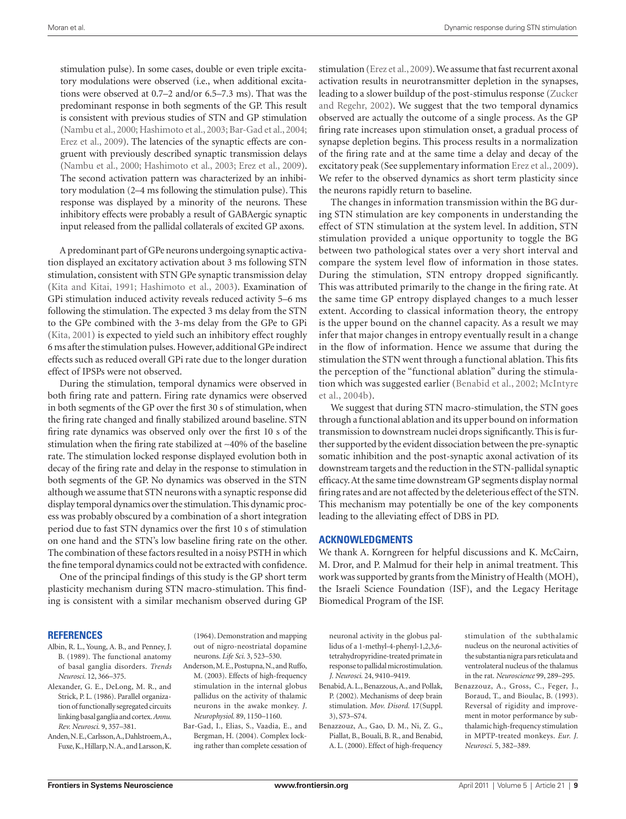stimulation pulse). In some cases, double or even triple excitatory modulations were observed (i.e., when additional excitations were observed at 0.7–2 and/or 6.5–7.3 ms). That was the predominant response in both segments of the GP. This result is consistent with previous studies of STN and GP stimulation (Nambu et al., 2000; Hashimoto et al., 2003; Bar-Gad et al., 2004; Erez et al., 2009). The latencies of the synaptic effects are congruent with previously described synaptic transmission delays (Nambu et al., 2000; Hashimoto et al., 2003; Erez et al., 2009). The second activation pattern was characterized by an inhibitory modulation (2–4 ms following the stimulation pulse). This response was displayed by a minority of the neurons. These inhibitory effects were probably a result of GABAergic synaptic input released from the pallidal collaterals of excited GP axons.

A predominant part of GPe neurons undergoing synaptic activation displayed an excitatory activation about 3 ms following STN stimulation, consistent with STN GPe synaptic transmission delay (Kita and Kitai, 1991; Hashimoto et al., 2003). Examination of GPi stimulation induced activity reveals reduced activity 5–6 ms following the stimulation. The expected 3 ms delay from the STN to the GPe combined with the 3-ms delay from the GPe to GPi (Kita, 2001) is expected to yield such an inhibitory effect roughly 6 ms after the stimulation pulses. However, additional GPe indirect effects such as reduced overall GPi rate due to the longer duration effect of IPSPs were not observed.

During the stimulation, temporal dynamics were observed in both firing rate and pattern. Firing rate dynamics were observed in both segments of the GP over the first 30 s of stimulation, when the firing rate changed and finally stabilized around baseline. STN firing rate dynamics was observed only over the first 10 s of the stimulation when the firing rate stabilized at ∼40% of the baseline rate. The stimulation locked response displayed evolution both in decay of the firing rate and delay in the response to stimulation in both segments of the GP. No dynamics was observed in the STN although we assume that STN neurons with a synaptic response did display temporal dynamics over the stimulation. This dynamic process was probably obscured by a combination of a short integration period due to fast STN dynamics over the first 10 s of stimulation on one hand and the STN's low baseline firing rate on the other. The combination of these factors resulted in a noisy PSTH in which the fine temporal dynamics could not be extracted with confidence.

One of the principal findings of this study is the GP short term plasticity mechanism during STN macro-stimulation. This finding is consistent with a similar mechanism observed during GP

#### **References**

- Albin, R. L., Young, A. B., and Penney, J. B. (1989). The functional anatomy of basal ganglia disorders. *Trends Neurosci.* 12, 366–375.
- Alexander, G. E., DeLong, M. R., and Strick, P. L. (1986). Parallel organization of functionally segregated circuits linking basal ganglia and cortex. *Annu. Rev. Neurosci.* 9, 357–381.
- Anden, N. E., Carlsson, A., Dahlstroem, A., Fuxe, K., Hillarp, N. A., and Larsson, K.

(1964). Demonstration and mapping out of nigro-neostriatal dopamine neurons. *Life Sci.* 3, 523–530.

- Anderson, M. E., Postupna, N., and Ruffo, M. (2003). Effects of high-frequency stimulation in the internal globus pallidus on the activity of thalamic neurons in the awake monkey. *J. Neurophysiol.* 89, 1150–1160.
- Bar-Gad, I., Elias, S., Vaadia, E., and Bergman, H. (2004). Complex locking rather than complete cessation of

stimulation (Erez et al., 2009). We assume that fast recurrent axonal activation results in neurotransmitter depletion in the synapses, leading to a slower buildup of the post-stimulus response (Zucker and Regehr, 2002). We suggest that the two temporal dynamics observed are actually the outcome of a single process. As the GP firing rate increases upon stimulation onset, a gradual process of synapse depletion begins. This process results in a normalization of the firing rate and at the same time a delay and decay of the excitatory peak (See supplementary information Erez et al., 2009). We refer to the observed dynamics as short term plasticity since the neurons rapidly return to baseline.

The changes in information transmission within the BG during STN stimulation are key components in understanding the effect of STN stimulation at the system level. In addition, STN stimulation provided a unique opportunity to toggle the BG between two pathological states over a very short interval and compare the system level flow of information in those states. During the stimulation, STN entropy dropped significantly. This was attributed primarily to the change in the firing rate. At the same time GP entropy displayed changes to a much lesser extent. According to classical information theory, the entropy is the upper bound on the channel capacity. As a result we may infer that major changes in entropy eventually result in a change in the flow of information. Hence we assume that during the stimulation the STN went through a functional ablation. This fits the perception of the "functional ablation" during the stimulation which was suggested earlier (Benabid et al., 2002; McIntyre et al., 2004b).

We suggest that during STN macro-stimulation, the STN goes through a functional ablation and its upper bound on information transmission to downstream nuclei drops significantly. This is further supported by the evident dissociation between the pre-synaptic somatic inhibition and the post-synaptic axonal activation of its downstream targets and the reduction in the STN-pallidal synaptic efficacy. At the same time downstream GP segments display normal firing rates and are not affected by the deleterious effect of the STN. This mechanism may potentially be one of the key components leading to the alleviating effect of DBS in PD.

## **Acknowledgments**

We thank A. Korngreen for helpful discussions and K. McCairn, M. Dror, and P. Malmud for their help in animal treatment. This work was supported by grants from the Ministry of Health (MOH), the Israeli Science Foundation (ISF), and the Legacy Heritage Biomedical Program of the ISF.

neuronal activity in the globus pallidus of a 1-methyl-4-phenyl-1,2,3,6 tetrahydropyridine-treated primate in response to pallidal microstimulation. *J. Neurosci.* 24, 9410–9419.

- Benabid, A. L., Benazzous, A., and Pollak, P. (2002). Mechanisms of deep brain stimulation. *Mov. Disord.* 17(Suppl. 3), S73–S74.
- Benazzouz, A., Gao, D. M., Ni, Z. G., Piallat, B., Bouali, B. R., and Benabid, A. L. (2000). Effect of high-frequency

stimulation of the subthalamic nucleus on the neuronal activities of the substantia nigra pars reticulata and ventrolateral nucleus of the thalamus in the rat. *Neuroscience* 99, 289–295.

Benazzouz, A., Gross, C., Feger, J., Boraud, T., and Bioulac, B. (1993). Reversal of rigidity and improvement in motor performance by subthalamic high-frequency stimulation in MPTP-treated monkeys. *Eur. J. Neurosci.* 5, 382–389.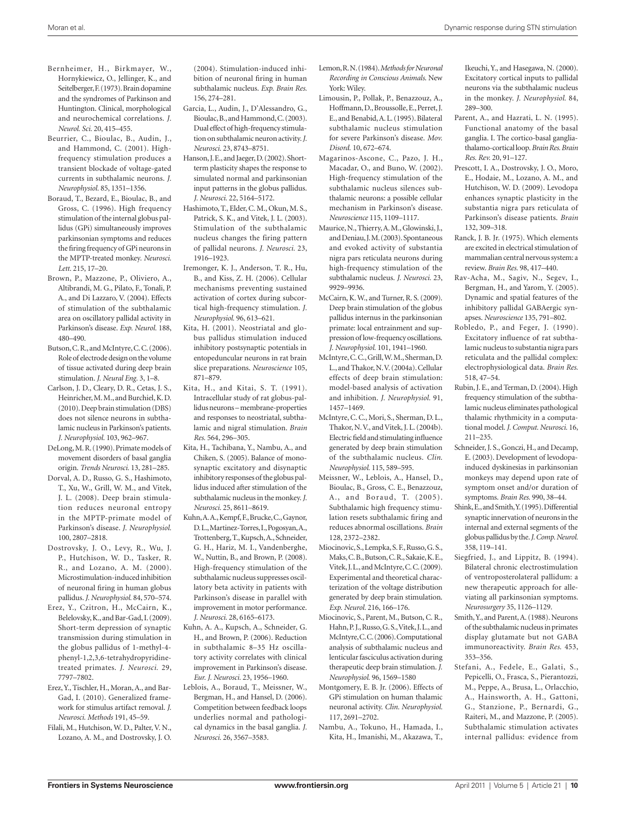- Bernheimer, H., Birkmayer, W., Hornykiewicz, O., Jellinger, K., and Seitelberger, F. (1973). Brain dopamine and the syndromes of Parkinson and Huntington. Clinical, morphological and neurochemical correlations. *J. Neurol. Sci.* 20, 415–455.
- Beurrier, C., Bioulac, B., Audin, J., and Hammond, C. (2001). Highfrequency stimulation produces a transient blockade of voltage-gated currents in subthalamic neurons. *J. Neurophysiol.* 85, 1351–1356.
- Boraud, T., Bezard, E., Bioulac, B., and Gross, C. (1996). High frequency stimulation of the internal globus pallidus (GPi) simultaneously improves parkinsonian symptoms and reduces the firing frequency of GPi neurons in the MPTP-treated monkey. *Neurosci. Lett.* 215, 17–20.
- Brown, P., Mazzone, P., Oliviero, A., Altibrandi, M. G., Pilato, F., Tonali, P. A., and Di Lazzaro, V. (2004). Effects of stimulation of the subthalamic area on oscillatory pallidal activity in Parkinson's disease. *Exp. Neurol.* 188, 480–490.
- Butson, C. R., and McIntyre, C. C. (2006). Role of electrode design on the volume of tissue activated during deep brain stimulation. *J. Neural Eng.* 3, 1–8.
- Carlson, J. D., Cleary, D. R., Cetas, J. S., Heinricher, M. M., and Burchiel, K. D. (2010). Deep brain stimulation (DBS) does not silence neurons in subthalamic nucleus in Parkinson's patients. *J. Neurophysiol.* 103, 962–967.
- DeLong, M. R. (1990). Primate models of movement disorders of basal ganglia origin. *Trends Neurosci.* 13, 281–285.
- Dorval, A. D., Russo, G. S., Hashimoto, T., Xu, W., Grill, W. M., and Vitek, J. L. (2008). Deep brain stimulation reduces neuronal entropy in the MPTP-primate model of Parkinson's disease. *J. Neurophysiol.*  100, 2807–2818.
- Dostrovsky, J. O., Levy, R., Wu, J. P., Hutchison, W. D., Tasker, R. R., and Lozano, A. M. (2000). Microstimulation-induced inhibition of neuronal firing in human globus pallidus. *J. Neurophysiol.* 84, 570–574.
- Erez, Y., Czitron, H., McCairn, K., Belelovsky, K., and Bar-Gad, I. (2009). Short-term depression of synaptic transmission during stimulation in the globus pallidus of 1-methyl-4 phenyl-1,2,3,6-tetrahydropyridinetreated primates. *J. Neurosci.* 29, 7797–7802.
- Erez, Y., Tischler, H., Moran, A., and Bar-Gad, I. (2010). Generalized framework for stimulus artifact removal. *J. Neurosci. Methods* 191, 45–59.
- Filali, M., Hutchison, W. D., Palter, V. N., Lozano, A. M., and Dostrovsky, J. O.

(2004). Stimulation-induced inhibition of neuronal firing in human subthalamic nucleus. *Exp. Brain Res.*  156, 274–281.

- Garcia, L., Audin, J., D'Alessandro, G., Bioulac, B., and Hammond, C. (2003). Dual effect of high-frequency stimulation on subthalamic neuron activity. *J. Neurosci.* 23, 8743–8751.
- Hanson, J. E., and Jaeger, D. (2002). Shortterm plasticity shapes the response to simulated normal and parkinsonian input patterns in the globus pallidus. *J. Neurosci.* 22, 5164–5172.
- Hashimoto, T., Elder, C. M., Okun, M. S., Patrick, S. K., and Vitek, J. L. (2003). Stimulation of the subthalamic nucleus changes the firing pattern of pallidal neurons. *J. Neurosci.* 23, 1916–1923.
- Iremonger, K. J., Anderson, T. R., Hu, B., and Kiss, Z. H. (2006). Cellular mechanisms preventing sustained activation of cortex during subcortical high-frequency stimulation. *J. Neurophysiol.* 96, 613–621.
- Kita, H. (2001). Neostriatal and globus pallidus stimulation induced inhibitory postsynaptic potentials in entopeduncular neurons in rat brain slice preparations. *Neuroscience* 105, 871–879.
- Kita, H., and Kitai, S. T. (1991). Intracellular study of rat globus-pallidus neurons – membrane-properties and responses to neostriatal, subthalamic and nigral stimulation. *Brain Res.* 564, 296–305.
- Kita, H., Tachibana, Y., Nambu, A., and Chiken, S. (2005). Balance of monosynaptic excitatory and disynaptic inhibitory responses of the globus pallidus induced after stimulation of the subthalamic nucleus in the monkey. *J. Neurosci.* 25, 8611–8619.
- Kuhn, A. A., Kempf, F., Brucke, C., Gaynor, D. L., Martinez-Torres, I., Pogosyan, A., Trottenberg, T., Kupsch, A., Schneider, G. H., Hariz, M. I., Vandenberghe, W., Nuttin, B., and Brown, P. (2008). High-frequency stimulation of the subthalamic nucleus suppresses oscillatory beta activity in patients with Parkinson's disease in parallel with improvement in motor performance. *J. Neurosci.* 28, 6165–6173.
- Kuhn, A. A., Kupsch, A., Schneider, G. H., and Brown, P. (2006). Reduction in subthalamic 8–35 Hz oscillatory activity correlates with clinical improvement in Parkinson's disease. *Eur. J. Neurosci.* 23, 1956–1960.
- Leblois, A., Boraud, T., Meissner, W., Bergman, H., and Hansel, D. (2006). Competition between feedback loops underlies normal and pathological dynamics in the basal ganglia. *J. Neurosci.* 26, 3567–3583.
- Lemon, R. N. (1984). *Methods for Neuronal Recording in Conscious Animals*. New York: Wiley.
- Limousin, P., Pollak, P., Benazzouz, A., Hoffmann, D., Broussolle, E., Perret, J. E., and Benabid, A. L. (1995). Bilateral subthalamic nucleus stimulation for severe Parkinson's disease. *Mov. Disord.* 10, 672–674.
- Magarinos-Ascone, C., Pazo, J. H., Macadar, O., and Buno, W. (2002). High-frequency stimulation of the subthalamic nucleus silences subthalamic neurons: a possible cellular mechanism in Parkinson's disease. *Neuroscience* 115, 1109–1117.
- Maurice, N., Thierry, A. M., Glowinski, J., and Deniau, J. M. (2003). Spontaneous and evoked activity of substantia nigra pars reticulata neurons during high-frequency stimulation of the subthalamic nucleus. *J. Neurosci.* 23, 9929–9936.
- McCairn, K. W., and Turner, R. S. (2009). Deep brain stimulation of the globus pallidus internus in the parkinsonian primate: local entrainment and suppression of low-frequency oscillations. *J. Neurophysiol.* 101, 1941–1960.
- McIntyre, C. C., Grill, W. M., Sherman, D. L., and Thakor, N. V. (2004a). Cellular effects of deep brain stimulation: model-based analysis of activation and inhibition. *J. Neurophysiol.* 91, 1457–1469.
- McIntyre, C. C., Mori, S., Sherman, D. L., Thakor, N. V., and Vitek, J. L. (2004b). Electric field and stimulating influence generated by deep brain stimulation of the subthalamic nucleus. *Clin. Neurophysiol.* 115, 589–595.
- Meissner, W., Leblois, A., Hansel, D., Bioulac, B., Gross, C. E., Benazzouz, A., and Boraud, T. (2005). Subthalamic high frequency stimulation resets subthalamic firing and reduces abnormal oscillations. *Brain*  128, 2372–2382.
- Miocinovic, S., Lempka, S. F., Russo, G. S., Maks, C. B., Butson, C. R., Sakaie, K. E., Vitek, J. L., and McIntyre, C. C. (2009). Experimental and theoretical characterization of the voltage distribution generated by deep brain stimulation. *Exp. Neurol.* 216, 166–176.
- Miocinovic, S., Parent, M., Butson, C. R., Hahn, P. J., Russo, G. S., Vitek, J. L., and McIntyre, C. C. (2006). Computational analysis of subthalamic nucleus and lenticular fasciculus activation during therapeutic deep brain stimulation. *J. Neurophysiol.* 96, 1569–1580
- Montgomery, E. B. Jr. (2006). Effects of GPi stimulation on human thalamic neuronal activity. *Clin. Neurophysiol.*  117, 2691–2702.
- Nambu, A., Tokuno, H., Hamada, I., Kita, H., Imanishi, M., Akazawa, T.,

Ikeuchi, Y., and Hasegawa, N. (2000). Excitatory cortical inputs to pallidal neurons via the subthalamic nucleus in the monkey. *J. Neurophysiol.* 84, 289–300.

- Parent, A., and Hazrati, L. N. (1995). Functional anatomy of the basal ganglia. I. The cortico-basal gangliathalamo-cortical loop. *Brain Res. Brain Res. Rev.* 20, 91–127.
- Prescott, I. A., Dostrovsky, J. O., Moro, E., Hodaie, M., Lozano, A. M., and Hutchison, W. D. (2009). Levodopa enhances synaptic plasticity in the substantia nigra pars reticulata of Parkinson's disease patients. *Brain*  132, 309–318.
- Ranck, J. B. Jr. (1975). Which elements are excited in electrical stimulation of mammalian central nervous system: a review. *Brain Res.* 98, 417–440.
- Rav-Acha, M., Sagiv, N., Segev, I., Bergman, H., and Yarom, Y. (2005). Dynamic and spatial features of the inhibitory pallidal GABAergic synapses. *Neuroscience* 135, 791–802.
- Robledo, P., and Feger, J. (1990). Excitatory influence of rat subthalamic nucleus to substantia nigra pars reticulata and the pallidal complex: electrophysiological data. *Brain Res.*  518, 47–54.
- Rubin, J. E., and Terman, D. (2004). High frequency stimulation of the subthalamic nucleus eliminates pathological thalamic rhythmicity in a computational model. *J. Comput. Neurosci.* 16, 211–235.
- Schneider, J. S., Gonczi, H., and Decamp, E. (2003). Development of levodopainduced dyskinesias in parkinsonian monkeys may depend upon rate of symptom onset and/or duration of symptoms. *Brain Res.* 990, 38–44.
- Shink, E., and Smith, Y. (1995). Differential synaptic innervation of neurons in the internal and external segments of the globus pallidus by the. *J. Comp. Neurol.*  358, 119–141.
- Siegfried, J., and Lippitz, B. (1994). Bilateral chronic electrostimulation of ventroposterolateral pallidum: a new therapeutic approach for alleviating all parkinsonian symptoms. *Neurosurgery* 35, 1126–1129.
- Smith, Y., and Parent, A. (1988). Neurons of the subthalamic nucleus in primates display glutamate but not GABA immunoreactivity. *Brain Res.* 453, 353–356.
- Stefani, A., Fedele, E., Galati, S., Pepicelli, O., Frasca, S., Pierantozzi, M., Peppe, A., Brusa, L., Orlacchio, A., Hainsworth, A. H., Gattoni, G., Stanzione, P., Bernardi, G., Raiteri, M., and Mazzone, P. (2005). Subthalamic stimulation activates internal pallidus: evidence from